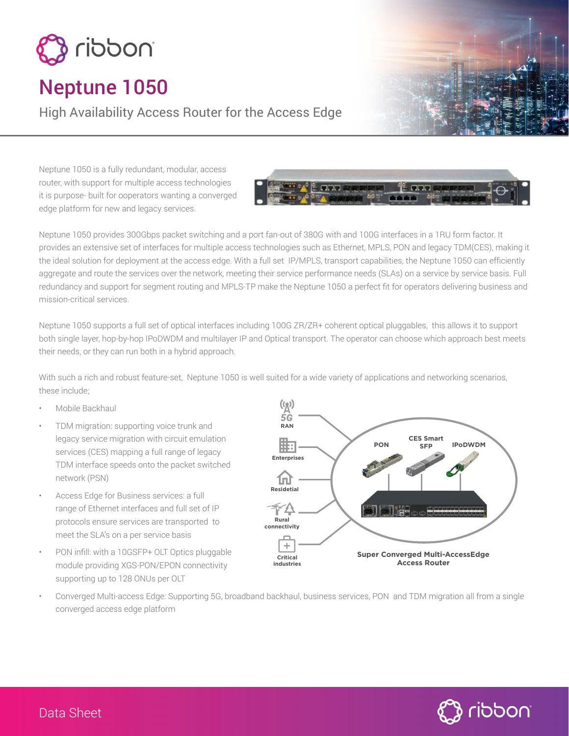

# Neptune 1050

High Availability Access Router for the Access Edge

Neptune 1050 is a fully redundant, modular, access router, with support for multiple access technologies it is purpose- built for ooperators wanting a converged edge platform for new and legacy services.



Neptune 1050 provides 300Gbps packet switching and a port fan-out of 380G with and 100G interfaces in a 1RU form factor. It provides an extensive set of interfaces for multiple access technologies such as Ethernet, MPLS, PON and legacy TDM(CES), making it the ideal solution for deployment at the access edge. With a full set IP/MPLS, transport capabilities, the Neptune 1050 can efficiently aggregate and route the services over the network, meeting their service performance needs (SLAs) on a service by service basis. Full redundancy and support for segment routing and MPLS-TP make the Neptune 1050 a perfect fit for operators delivering business and mission-critical services.

Neptune 1050 supports a full set of optical interfaces including 100G ZR/ZR+ coherent optical pluggables, this allows it to support both single layer, hop-by-hop IPoDWDM and multilayer IP and Optical transport. The operator can choose which approach best meets their needs, or they can run both in a hybrid approach.

With such a rich and robust feature-set, Neptune 1050 is well suited for a wide variety of applications and networking scenarios, these include;

- Mobile Backhaul
- TDM migration: supporting voice trunk and legacy service migration with circuit emulation services (CES) mapping a full range of legacy TDM interface speeds onto the packet switched network (PSN)
- Access Edge for Business services: a full range of Ethernet interfaces and full set of IP protocols ensure services are transported to meet the SLA's on a per service basis
- PON infill: with a 10GSFP+ OLT Optics pluggable module providing XGS-PON/EPON connectivity supporting up to 128 ONUs per OLT



• Converged Multi-access Edge: Supporting 5G, broadband backhaul, business services, PON and TDM migration all from a single converged access edge platform

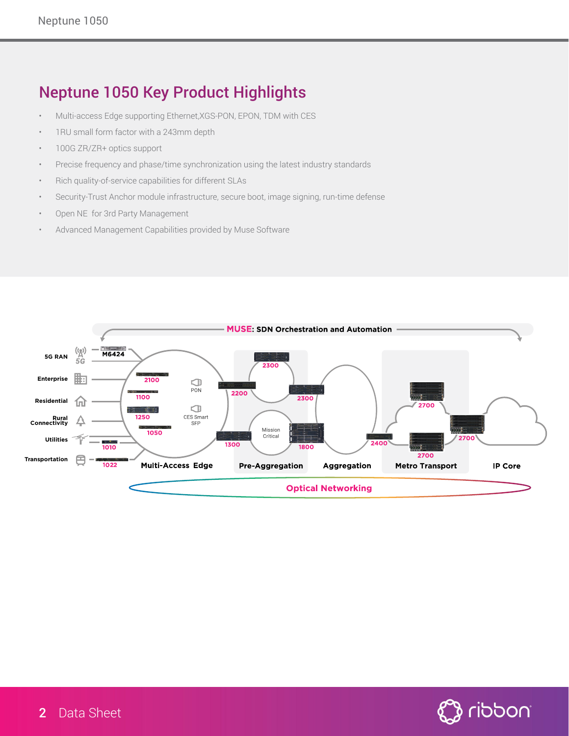## Neptune 1050 Key Product Highlights

- Multi-access Edge supporting Ethernet,XGS-PON, EPON, TDM with CES
- 1RU small form factor with a 243mm depth
- 100G ZR/ZR+ optics support
- Precise frequency and phase/time synchronization using the latest industry standards
- Rich quality-of-service capabilities for different SLAs
- Security-Trust Anchor module infrastructure, secure boot, image signing, run-time defense
- Open NE for 3rd Party Management
- Advanced Management Capabilities provided by Muse Software



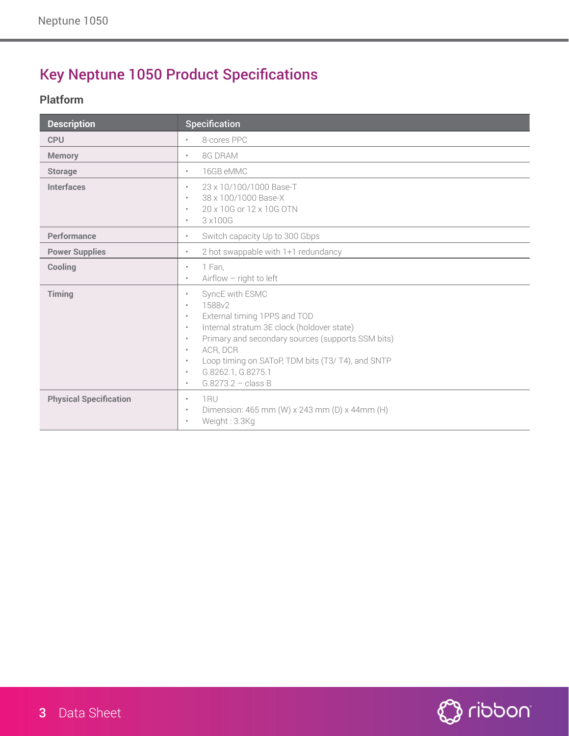# Key Neptune 1050 Product Specifications

### **Platform**

| <b>Description</b>            | <b>Specification</b>                                                                                                                                                                                                                                                                                                                                            |
|-------------------------------|-----------------------------------------------------------------------------------------------------------------------------------------------------------------------------------------------------------------------------------------------------------------------------------------------------------------------------------------------------------------|
| <b>CPU</b>                    | 8-cores PPC<br>٠                                                                                                                                                                                                                                                                                                                                                |
| <b>Memory</b>                 | 8G DRAM<br>٠                                                                                                                                                                                                                                                                                                                                                    |
| <b>Storage</b>                | 16GB eMMC<br>$\bullet$                                                                                                                                                                                                                                                                                                                                          |
| <b>Interfaces</b>             | 23 x 10/100/1000 Base-T<br>٠<br>38 x 100/1000 Base-X<br>٠<br>20 x 10G or 12 x 10G OTN<br>$\bullet$<br>3 x 100G<br>$\bullet$                                                                                                                                                                                                                                     |
| Performance                   | Switch capacity Up to 300 Gbps<br>$\bullet$                                                                                                                                                                                                                                                                                                                     |
| <b>Power Supplies</b>         | 2 hot swappable with 1+1 redundancy<br>$\bullet$                                                                                                                                                                                                                                                                                                                |
| Cooling                       | 1 Fan,<br>$\bullet$<br>$Airflow$ - right to left<br>٠                                                                                                                                                                                                                                                                                                           |
| Timing                        | SyncE with ESMC<br>٠<br>1588v2<br>$\bullet$<br>External timing 1PPS and TOD<br>$\bullet$<br>Internal stratum 3E clock (holdover state)<br>$\bullet$<br>Primary and secondary sources (supports SSM bits)<br>$\bullet$<br>ACR, DCR<br>٠<br>Loop timing on SAToP, TDM bits (T3/T4), and SNTP<br>$\bullet$<br>G.8262.1, G.8275.1<br>٠<br>$G.8273.2 - class B$<br>٠ |
| <b>Physical Specification</b> | 1RU<br>$\bullet$<br>Dimension: 465 mm (W) x 243 mm (D) x 44mm (H)<br>٠<br>Weight: 3.3Kg<br>٠                                                                                                                                                                                                                                                                    |

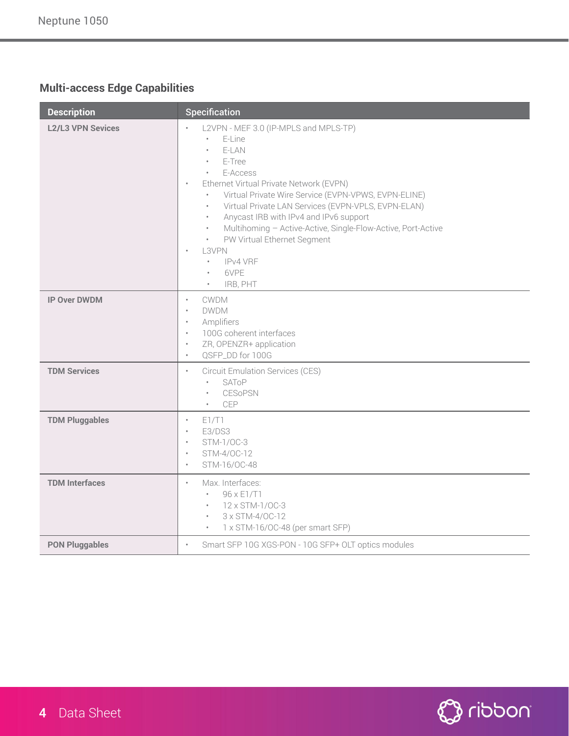### **Multi-access Edge Capabilities**

| <b>Description</b>       | Specification                                                                                                                                                                                                                                                                                                                                                                                                                                                                                                                                                                                              |
|--------------------------|------------------------------------------------------------------------------------------------------------------------------------------------------------------------------------------------------------------------------------------------------------------------------------------------------------------------------------------------------------------------------------------------------------------------------------------------------------------------------------------------------------------------------------------------------------------------------------------------------------|
| <b>L2/L3 VPN Sevices</b> | L2VPN - MEF 3.0 (IP-MPLS and MPLS-TP)<br>$\bullet$<br>E-Line<br>E-LAN<br>E-Tree<br>$\bullet$<br>E-Access<br>$\bullet$<br>Ethernet Virtual Private Network (EVPN)<br>$\bullet$<br>Virtual Private Wire Service (EVPN-VPWS, EVPN-ELINE)<br>$\bullet$<br>Virtual Private LAN Services (EVPN-VPLS, EVPN-ELAN)<br>$\bullet$<br>Anycast IRB with IPv4 and IPv6 support<br>$\bullet$<br>Multihoming - Active-Active, Single-Flow-Active, Port-Active<br>$\bullet$<br>PW Virtual Ethernet Segment<br>$\bullet$<br>L3VPN<br>$\bullet$<br><b>IPv4 VRF</b><br>$\bullet$<br>6VPE<br>$\bullet$<br>IRB, PHT<br>$\bullet$ |
| <b>IP Over DWDM</b>      | CWDM<br>$\bullet$<br><b>DWDM</b><br>$\bullet$<br>Amplifiers<br>$\bullet$<br>100G coherent interfaces<br>$\bullet$<br>ZR, OPENZR+ application<br>$\bullet$<br>QSFP_DD for 100G<br>$\bullet$                                                                                                                                                                                                                                                                                                                                                                                                                 |
| <b>TDM Services</b>      | <b>Circuit Emulation Services (CES)</b><br>$\bullet$<br>SAToP<br>$\bullet$<br><b>CESoPSN</b><br><b>CEP</b><br>$\bullet$                                                                                                                                                                                                                                                                                                                                                                                                                                                                                    |
| <b>TDM Pluggables</b>    | E1/T1<br>$\bullet$<br>E3/DS3<br>$\bullet$<br>STM-1/0C-3<br>$\bullet$<br>STM-4/OC-12<br>$\bullet$<br>STM-16/OC-48<br>$\bullet$                                                                                                                                                                                                                                                                                                                                                                                                                                                                              |
| <b>TDM Interfaces</b>    | Max. Interfaces:<br>$\bullet$<br>96 x E1/T1<br>$\bullet$<br>12 x STM-1/0C-3<br>$\bullet$<br>3 x STM-4/OC-12<br>$\bullet$<br>1 x STM-16/OC-48 (per smart SFP)<br>$\bullet$                                                                                                                                                                                                                                                                                                                                                                                                                                  |
| <b>PON Pluggables</b>    | Smart SFP 10G XGS-PON - 10G SFP+ OLT optics modules<br>$\bullet$                                                                                                                                                                                                                                                                                                                                                                                                                                                                                                                                           |

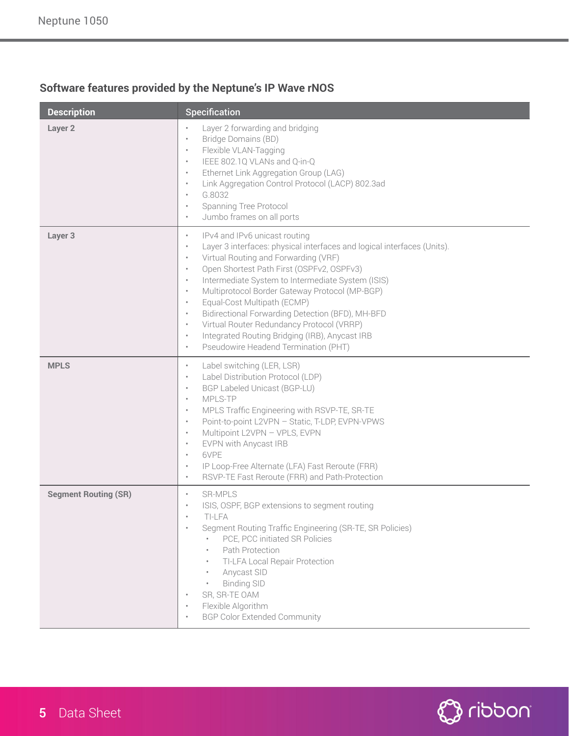### **Software features provided by the Neptune's IP Wave rNOS**

| <b>Description</b>          | Specification                                                                                                                                                                                                                                                                                                                                                                                                                                                                                                                                                                                                                                                                 |
|-----------------------------|-------------------------------------------------------------------------------------------------------------------------------------------------------------------------------------------------------------------------------------------------------------------------------------------------------------------------------------------------------------------------------------------------------------------------------------------------------------------------------------------------------------------------------------------------------------------------------------------------------------------------------------------------------------------------------|
| Layer <sub>2</sub>          | Layer 2 forwarding and bridging<br>$\bullet$<br>Bridge Domains (BD)<br>$\bullet$<br>Flexible VLAN-Tagging<br>$\bullet$<br>IEEE 802.1Q VLANs and Q-in-Q<br>$\bullet$<br>Ethernet Link Aggregation Group (LAG)<br>$\bullet$<br>Link Aggregation Control Protocol (LACP) 802.3ad<br>$\bullet$<br>G.8032<br>$\bullet$<br>Spanning Tree Protocol<br>$\bullet$<br>Jumbo frames on all ports<br>$\bullet$                                                                                                                                                                                                                                                                            |
| Layer <sub>3</sub>          | IPv4 and IPv6 unicast routing<br>$\bullet$<br>Layer 3 interfaces: physical interfaces and logical interfaces (Units).<br>$\bullet$<br>Virtual Routing and Forwarding (VRF)<br>$\bullet$<br>Open Shortest Path First (OSPFv2, OSPFv3)<br>$\bullet$<br>Intermediate System to Intermediate System (ISIS)<br>$\bullet$<br>Multiprotocol Border Gateway Protocol (MP-BGP)<br>$\bullet$<br>Equal-Cost Multipath (ECMP)<br>$\bullet$<br>Bidirectional Forwarding Detection (BFD), MH-BFD<br>$\bullet$<br>Virtual Router Redundancy Protocol (VRRP)<br>$\bullet$<br>Integrated Routing Bridging (IRB), Anycast IRB<br>$\bullet$<br>Pseudowire Headend Termination (PHT)<br>$\bullet$ |
| <b>MPLS</b>                 | Label switching (LER, LSR)<br>$\bullet$<br>Label Distribution Protocol (LDP)<br>$\bullet$<br>BGP Labeled Unicast (BGP-LU)<br>$\bullet$<br>MPLS-TP<br>$\bullet$<br>MPLS Traffic Engineering with RSVP-TE, SR-TE<br>$\bullet$<br>Point-to-point L2VPN - Static, T-LDP, EVPN-VPWS<br>$\bullet$<br>Multipoint L2VPN - VPLS, EVPN<br>$\bullet$<br>EVPN with Anycast IRB<br>$\bullet$<br>6VPE<br>$\bullet$<br>IP Loop-Free Alternate (LFA) Fast Reroute (FRR)<br>$\bullet$<br>RSVP-TE Fast Reroute (FRR) and Path-Protection<br>$\bullet$                                                                                                                                           |
| <b>Segment Routing (SR)</b> | <b>SR-MPLS</b><br>$\bullet$<br>ISIS, OSPF, BGP extensions to segment routing<br>$\bullet$<br>TI-I FA<br>Segment Routing Traffic Engineering (SR-TE, SR Policies)<br>٠<br>PCE, PCC initiated SR Policies<br>Path Protection<br>$\bullet$<br>TI-LFA Local Repair Protection<br>Anycast SID<br>$\bullet$<br><b>Binding SID</b><br>SR, SR-TE OAM<br>Flexible Algorithm<br>٠<br><b>BGP Color Extended Community</b>                                                                                                                                                                                                                                                                |

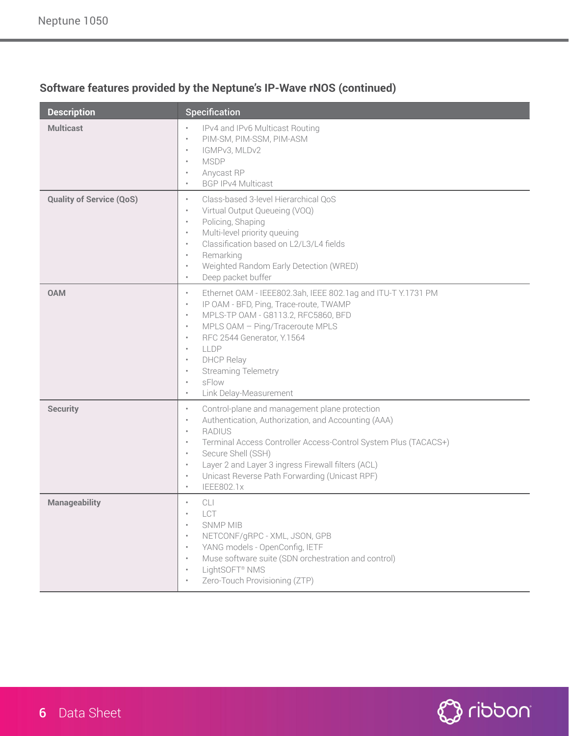| <b>Description</b>              | <b>Specification</b>                                                                                                                                                                                                                                                                                                                                                                                                                           |
|---------------------------------|------------------------------------------------------------------------------------------------------------------------------------------------------------------------------------------------------------------------------------------------------------------------------------------------------------------------------------------------------------------------------------------------------------------------------------------------|
| <b>Multicast</b>                | IPv4 and IPv6 Multicast Routing<br>$\bullet$<br>PIM-SM, PIM-SSM, PIM-ASM<br>$\bullet$<br>IGMPv3, MLDv2<br>$\bullet$<br><b>MSDP</b><br>$\bullet$<br>Anycast RP<br><b>BGP IPv4 Multicast</b><br>$\bullet$                                                                                                                                                                                                                                        |
| <b>Quality of Service (QoS)</b> | Class-based 3-level Hierarchical QoS<br>$\ddot{\phantom{a}}$<br>Virtual Output Queueing (VOQ)<br>٠<br>Policing, Shaping<br>$\bullet$<br>Multi-level priority queuing<br>$\bullet$<br>Classification based on L2/L3/L4 fields<br>$\ddot{\phantom{a}}$<br>Remarking<br>$\bullet$<br>Weighted Random Early Detection (WRED)<br>٠<br>Deep packet buffer<br>$\bullet$                                                                               |
| <b>OAM</b>                      | Ethernet OAM - IEEE802.3ah, IEEE 802.1ag and ITU-T Y.1731 PM<br>$\bullet$<br>IP OAM - BFD, Ping, Trace-route, TWAMP<br>$\bullet$<br>MPLS-TP 0AM - G8113.2, RFC5860, BFD<br>$\bullet$<br>MPLS OAM - Ping/Traceroute MPLS<br>$\bullet$<br>RFC 2544 Generator, Y.1564<br>$\bullet$<br>LLDP<br>$\bullet$<br><b>DHCP Relay</b><br>$\bullet$<br><b>Streaming Telemetry</b><br>$\bullet$<br>sFlow<br>$\bullet$<br>Link Delay-Measurement<br>$\bullet$ |
| <b>Security</b>                 | Control-plane and management plane protection<br>$\bullet$<br>Authentication, Authorization, and Accounting (AAA)<br>$\bullet$<br><b>RADIUS</b><br>$\bullet$<br>Terminal Access Controller Access-Control System Plus (TACACS+)<br>$\bullet$<br>Secure Shell (SSH)<br>$\bullet$<br>Layer 2 and Layer 3 ingress Firewall filters (ACL)<br>$\bullet$<br>Unicast Reverse Path Forwarding (Unicast RPF)<br>$\bullet$<br>IEEE802.1x<br>$\bullet$    |
| <b>Manageability</b>            | CLI<br>LCT<br><b>SNMP MIB</b><br>NETCONF/gRPC - XML, JSON, GPB<br>YANG models - OpenConfig, IETF<br>Muse software suite (SDN orchestration and control)<br>LightSOFT <sup>®</sup> NMS<br>Zero-Touch Provisioning (ZTP)                                                                                                                                                                                                                         |

### **Software features provided by the Neptune's IP-Wave rNOS (continued)**

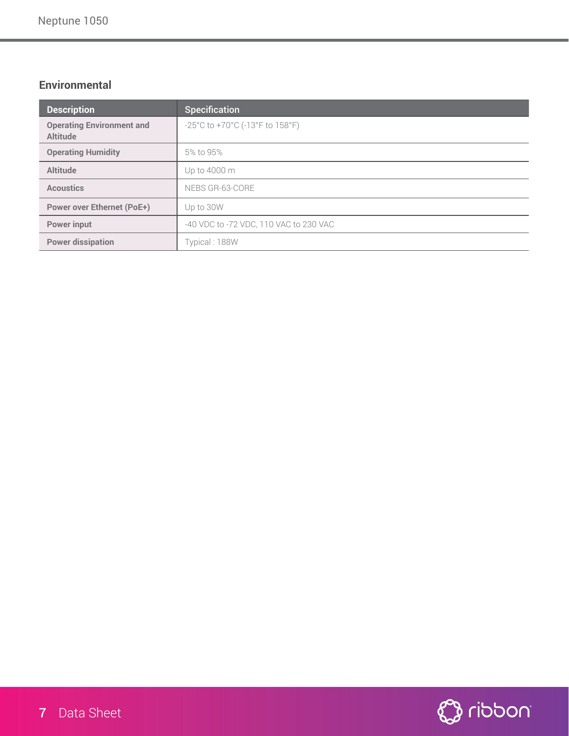### **Environmental**

| <b>Description</b>                                  | <b>Specification</b>                   |
|-----------------------------------------------------|----------------------------------------|
| <b>Operating Environment and</b><br><b>Altitude</b> | -25°C to +70°C (-13°F to 158°F)        |
| <b>Operating Humidity</b>                           | 5% to 95%                              |
| <b>Altitude</b>                                     | Up to 4000 m                           |
| <b>Acoustics</b>                                    | NEBS GR-63-CORE                        |
| <b>Power over Ethernet (PoE+)</b>                   | Up to 30W                              |
| <b>Power input</b>                                  | -40 VDC to -72 VDC, 110 VAC to 230 VAC |
| <b>Power dissipation</b>                            | Typical: 188W                          |